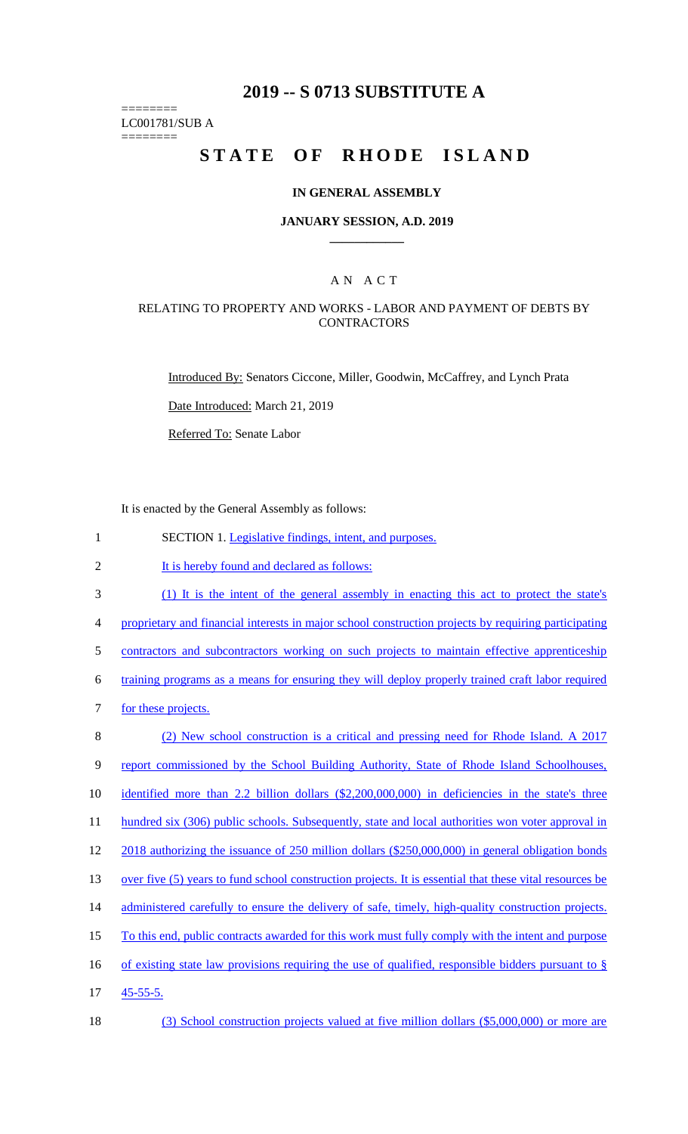# **2019 -- S 0713 SUBSTITUTE A**

LC001781/SUB A

========

========

# STATE OF RHODE ISLAND

## **IN GENERAL ASSEMBLY**

#### **JANUARY SESSION, A.D. 2019 \_\_\_\_\_\_\_\_\_\_\_\_**

## A N A C T

### RELATING TO PROPERTY AND WORKS - LABOR AND PAYMENT OF DEBTS BY **CONTRACTORS**

Introduced By: Senators Ciccone, Miller, Goodwin, McCaffrey, and Lynch Prata

Date Introduced: March 21, 2019

Referred To: Senate Labor

It is enacted by the General Assembly as follows:

| $\mathbf{1}$   | SECTION 1. Legislative findings, intent, and purposes.                                                  |
|----------------|---------------------------------------------------------------------------------------------------------|
| $\overline{2}$ | It is hereby found and declared as follows:                                                             |
| 3              | (1) It is the intent of the general assembly in enacting this act to protect the state's                |
| $\overline{4}$ | proprietary and financial interests in major school construction projects by requiring participating    |
| 5              | contractors and subcontractors working on such projects to maintain effective apprenticeship            |
| 6              | training programs as a means for ensuring they will deploy properly trained craft labor required        |
| $\tau$         | for these projects.                                                                                     |
| 8              | (2) New school construction is a critical and pressing need for Rhode Island. A 2017                    |
| 9              | report commissioned by the School Building Authority, State of Rhode Island Schoolhouses,               |
| 10             | identified more than 2.2 billion dollars (\$2,200,000,000) in deficiencies in the state's three         |
| 11             | hundred six (306) public schools. Subsequently, state and local authorities won voter approval in       |
| 12             | 2018 authorizing the issuance of 250 million dollars (\$250,000,000) in general obligation bonds        |
| 13             | over five (5) years to fund school construction projects. It is essential that these vital resources be |
| 14             | administered carefully to ensure the delivery of safe, timely, high-quality construction projects.      |
| 15             | To this end, public contracts awarded for this work must fully comply with the intent and purpose       |
| 16             | of existing state law provisions requiring the use of qualified, responsible bidders pursuant to $\S$   |
| 17             | $45 - 55 - 5$ .                                                                                         |
| 18             | (3) School construction projects valued at five million dollars (\$5,000,000) or more are               |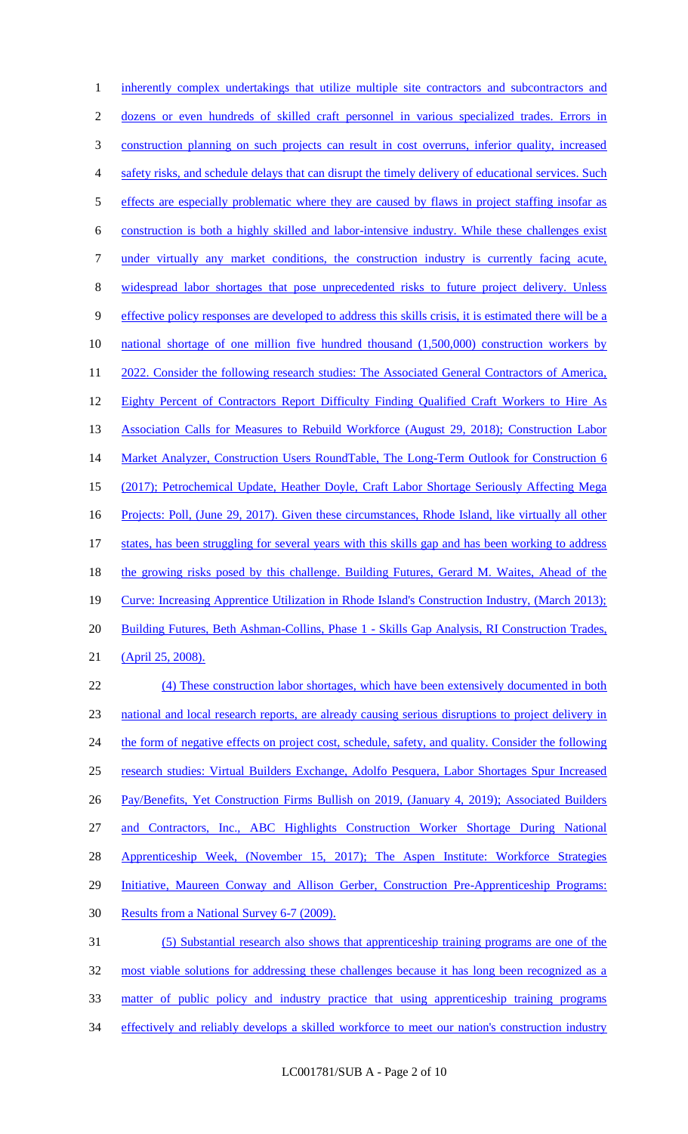1 inherently complex undertakings that utilize multiple site contractors and subcontractors and 2 dozens or even hundreds of skilled craft personnel in various specialized trades. Errors in 3 construction planning on such projects can result in cost overruns, inferior quality, increased 4 safety risks, and schedule delays that can disrupt the timely delivery of educational services. Such 5 effects are especially problematic where they are caused by flaws in project staffing insofar as 6 construction is both a highly skilled and labor-intensive industry. While these challenges exist 7 under virtually any market conditions, the construction industry is currently facing acute, 8 widespread labor shortages that pose unprecedented risks to future project delivery. Unless 9 effective policy responses are developed to address this skills crisis, it is estimated there will be a 10 national shortage of one million five hundred thousand (1,500,000) construction workers by 11 2022. Consider the following research studies: The Associated General Contractors of America, 12 Eighty Percent of Contractors Report Difficulty Finding Qualified Craft Workers to Hire As 13 Association Calls for Measures to Rebuild Workforce (August 29, 2018); Construction Labor 14 Market Analyzer, Construction Users RoundTable, The Long-Term Outlook for Construction 6 15 (2017); Petrochemical Update, Heather Doyle, Craft Labor Shortage Seriously Affecting Mega 16 Projects: Poll, (June 29, 2017). Given these circumstances, Rhode Island, like virtually all other 17 states, has been struggling for several years with this skills gap and has been working to address 18 the growing risks posed by this challenge. Building Futures, Gerard M. Waites, Ahead of the 19 Curve: Increasing Apprentice Utilization in Rhode Island's Construction Industry, (March 2013); 20 Building Futures, Beth Ashman-Collins, Phase 1 - Skills Gap Analysis, RI Construction Trades, 21 (April 25, 2008). 22 (4) These construction labor shortages, which have been extensively documented in both 23 national and local research reports, are already causing serious disruptions to project delivery in 24 the form of negative effects on project cost, schedule, safety, and quality. Consider the following 25 research studies: Virtual Builders Exchange, Adolfo Pesquera, Labor Shortages Spur Increased 26 Pay/Benefits, Yet Construction Firms Bullish on 2019, (January 4, 2019); Associated Builders 27 and Contractors, Inc., ABC Highlights Construction Worker Shortage During National 28 Apprenticeship Week, (November 15, 2017); The Aspen Institute: Workforce Strategies 29 Initiative, Maureen Conway and Allison Gerber, Construction Pre-Apprenticeship Programs: 30 Results from a National Survey 6-7 (2009). 31 (5) Substantial research also shows that apprenticeship training programs are one of the 32 most viable solutions for addressing these challenges because it has long been recognized as a 33 matter of public policy and industry practice that using apprenticeship training programs 34 effectively and reliably develops a skilled workforce to meet our nation's construction industry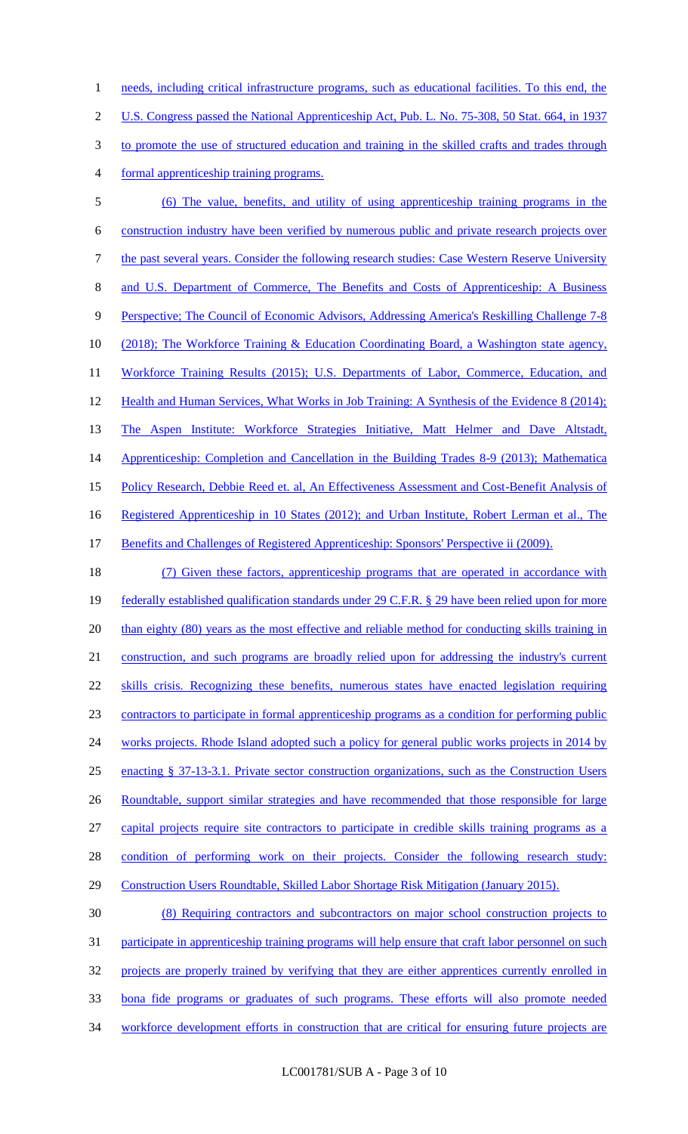1 needs, including critical infrastructure programs, such as educational facilities. To this end, the U.S. Congress passed the National Apprenticeship Act, Pub. L. No. 75-308, 50 Stat. 664, in 1937 to promote the use of structured education and training in the skilled crafts and trades through formal apprenticeship training programs.

5 (6) The value, benefits, and utility of using apprenticeship training programs in the 6 construction industry have been verified by numerous public and private research projects over 7 the past several years. Consider the following research studies: Case Western Reserve University 8 and U.S. Department of Commerce, The Benefits and Costs of Apprenticeship: A Business 9 Perspective; The Council of Economic Advisors, Addressing America's Reskilling Challenge 7-8 10 (2018); The Workforce Training & Education Coordinating Board, a Washington state agency, 11 Workforce Training Results (2015); U.S. Departments of Labor, Commerce, Education, and 12 Health and Human Services, What Works in Job Training: A Synthesis of the Evidence 8 (2014); 13 The Aspen Institute: Workforce Strategies Initiative, Matt Helmer and Dave Altstadt, 14 Apprenticeship: Completion and Cancellation in the Building Trades 8-9 (2013); Mathematica 15 Policy Research, Debbie Reed et. al, An Effectiveness Assessment and Cost-Benefit Analysis of 16 Registered Apprenticeship in 10 States (2012); and Urban Institute, Robert Lerman et al., The 17 Benefits and Challenges of Registered Apprenticeship: Sponsors' Perspective ii (2009).

 (7) Given these factors, apprenticeship programs that are operated in accordance with federally established qualification standards under 29 C.F.R. § 29 have been relied upon for more 20 than eighty (80) years as the most effective and reliable method for conducting skills training in construction, and such programs are broadly relied upon for addressing the industry's current skills crisis. Recognizing these benefits, numerous states have enacted legislation requiring contractors to participate in formal apprenticeship programs as a condition for performing public 24 works projects. Rhode Island adopted such a policy for general public works projects in 2014 by enacting § 37-13-3.1. Private sector construction organizations, such as the Construction Users 26 Roundtable, support similar strategies and have recommended that those responsible for large capital projects require site contractors to participate in credible skills training programs as a 28 condition of performing work on their projects. Consider the following research study: Construction Users Roundtable, Skilled Labor Shortage Risk Mitigation (January 2015).

30 (8) Requiring contractors and subcontractors on major school construction projects to 31 participate in apprenticeship training programs will help ensure that craft labor personnel on such 32 projects are properly trained by verifying that they are either apprentices currently enrolled in 33 bona fide programs or graduates of such programs. These efforts will also promote needed 34 workforce development efforts in construction that are critical for ensuring future projects are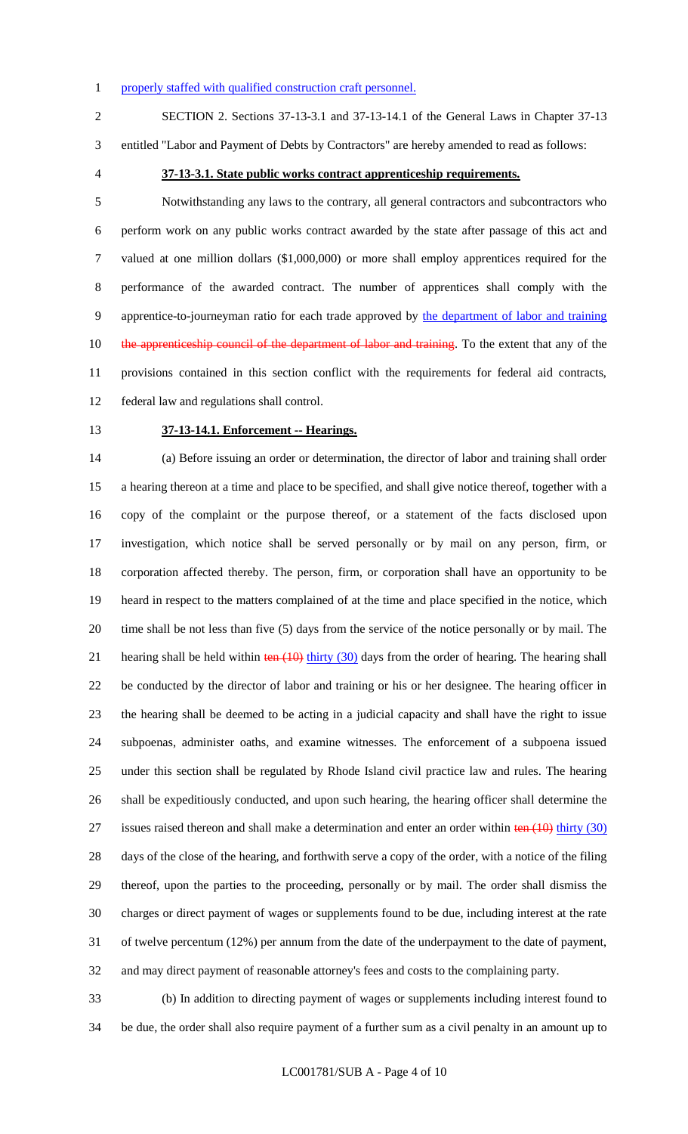#### 1 properly staffed with qualified construction craft personnel.

SECTION 2. Sections 37-13-3.1 and 37-13-14.1 of the General Laws in Chapter 37-13

entitled "Labor and Payment of Debts by Contractors" are hereby amended to read as follows:

## **37-13-3.1. State public works contract apprenticeship requirements.**

 Notwithstanding any laws to the contrary, all general contractors and subcontractors who perform work on any public works contract awarded by the state after passage of this act and valued at one million dollars (\$1,000,000) or more shall employ apprentices required for the performance of the awarded contract. The number of apprentices shall comply with the apprentice-to-journeyman ratio for each trade approved by the department of labor and training 10 the apprenticeship council of the department of labor and training. To the extent that any of the provisions contained in this section conflict with the requirements for federal aid contracts, federal law and regulations shall control.

#### **37-13-14.1. Enforcement -- Hearings.**

 (a) Before issuing an order or determination, the director of labor and training shall order a hearing thereon at a time and place to be specified, and shall give notice thereof, together with a copy of the complaint or the purpose thereof, or a statement of the facts disclosed upon investigation, which notice shall be served personally or by mail on any person, firm, or corporation affected thereby. The person, firm, or corporation shall have an opportunity to be heard in respect to the matters complained of at the time and place specified in the notice, which time shall be not less than five (5) days from the service of the notice personally or by mail. The 21 hearing shall be held within  $\frac{\tan(10)}{\tan(10)}$  thirty (30) days from the order of hearing. The hearing shall be conducted by the director of labor and training or his or her designee. The hearing officer in the hearing shall be deemed to be acting in a judicial capacity and shall have the right to issue subpoenas, administer oaths, and examine witnesses. The enforcement of a subpoena issued under this section shall be regulated by Rhode Island civil practice law and rules. The hearing shall be expeditiously conducted, and upon such hearing, the hearing officer shall determine the 27 issues raised thereon and shall make a determination and enter an order within ten (10) thirty (30) days of the close of the hearing, and forthwith serve a copy of the order, with a notice of the filing thereof, upon the parties to the proceeding, personally or by mail. The order shall dismiss the charges or direct payment of wages or supplements found to be due, including interest at the rate of twelve percentum (12%) per annum from the date of the underpayment to the date of payment, and may direct payment of reasonable attorney's fees and costs to the complaining party.

 (b) In addition to directing payment of wages or supplements including interest found to be due, the order shall also require payment of a further sum as a civil penalty in an amount up to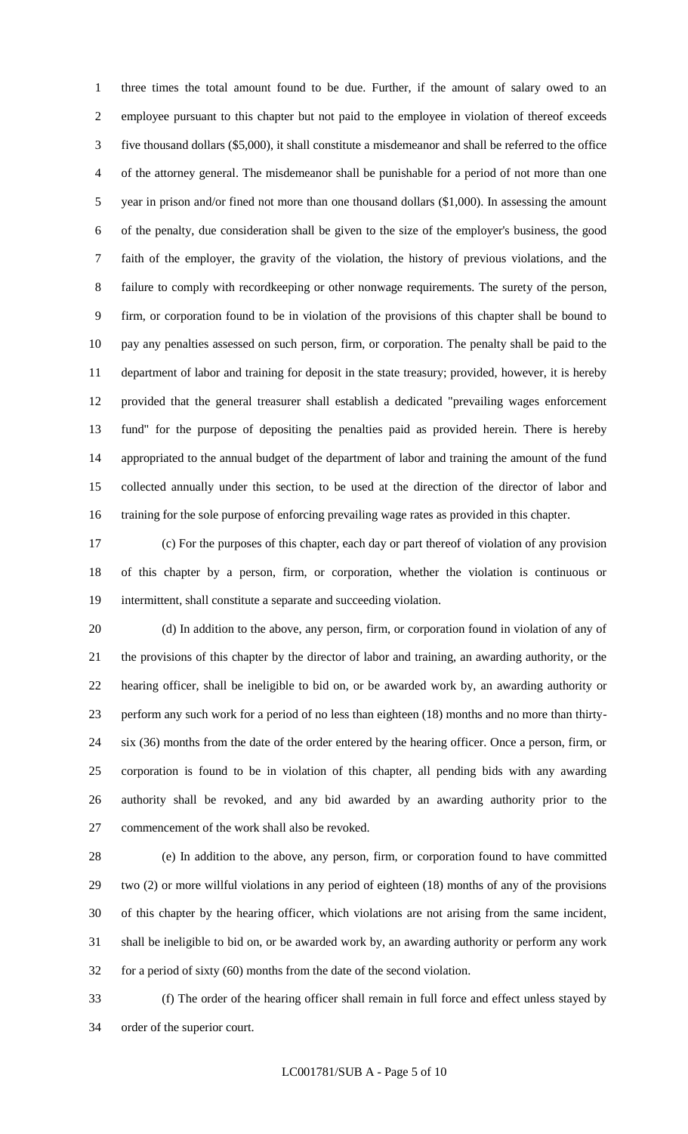three times the total amount found to be due. Further, if the amount of salary owed to an employee pursuant to this chapter but not paid to the employee in violation of thereof exceeds five thousand dollars (\$5,000), it shall constitute a misdemeanor and shall be referred to the office of the attorney general. The misdemeanor shall be punishable for a period of not more than one 5 year in prison and/or fined not more than one thousand dollars (\$1,000). In assessing the amount of the penalty, due consideration shall be given to the size of the employer's business, the good faith of the employer, the gravity of the violation, the history of previous violations, and the failure to comply with recordkeeping or other nonwage requirements. The surety of the person, firm, or corporation found to be in violation of the provisions of this chapter shall be bound to pay any penalties assessed on such person, firm, or corporation. The penalty shall be paid to the department of labor and training for deposit in the state treasury; provided, however, it is hereby provided that the general treasurer shall establish a dedicated "prevailing wages enforcement fund" for the purpose of depositing the penalties paid as provided herein. There is hereby appropriated to the annual budget of the department of labor and training the amount of the fund collected annually under this section, to be used at the direction of the director of labor and training for the sole purpose of enforcing prevailing wage rates as provided in this chapter.

 (c) For the purposes of this chapter, each day or part thereof of violation of any provision of this chapter by a person, firm, or corporation, whether the violation is continuous or intermittent, shall constitute a separate and succeeding violation.

 (d) In addition to the above, any person, firm, or corporation found in violation of any of the provisions of this chapter by the director of labor and training, an awarding authority, or the hearing officer, shall be ineligible to bid on, or be awarded work by, an awarding authority or perform any such work for a period of no less than eighteen (18) months and no more than thirty- six (36) months from the date of the order entered by the hearing officer. Once a person, firm, or corporation is found to be in violation of this chapter, all pending bids with any awarding authority shall be revoked, and any bid awarded by an awarding authority prior to the commencement of the work shall also be revoked.

 (e) In addition to the above, any person, firm, or corporation found to have committed two (2) or more willful violations in any period of eighteen (18) months of any of the provisions of this chapter by the hearing officer, which violations are not arising from the same incident, shall be ineligible to bid on, or be awarded work by, an awarding authority or perform any work for a period of sixty (60) months from the date of the second violation.

 (f) The order of the hearing officer shall remain in full force and effect unless stayed by order of the superior court.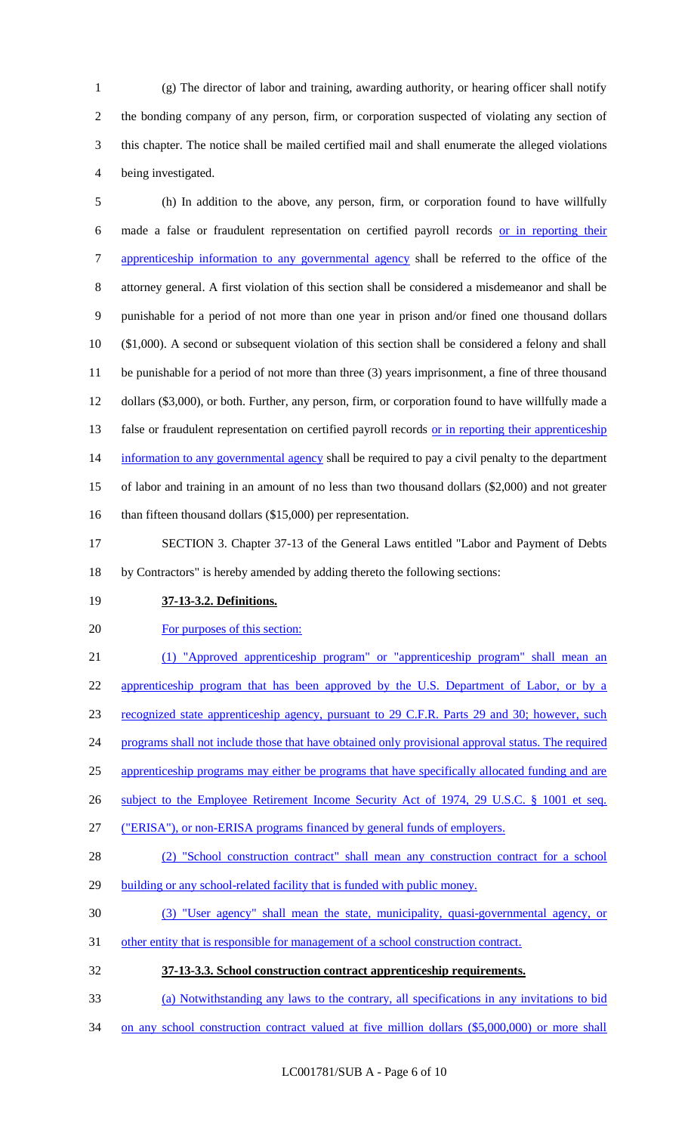(g) The director of labor and training, awarding authority, or hearing officer shall notify the bonding company of any person, firm, or corporation suspected of violating any section of this chapter. The notice shall be mailed certified mail and shall enumerate the alleged violations being investigated.

 (h) In addition to the above, any person, firm, or corporation found to have willfully made a false or fraudulent representation on certified payroll records or in reporting their 7 apprenticeship information to any governmental agency shall be referred to the office of the attorney general. A first violation of this section shall be considered a misdemeanor and shall be punishable for a period of not more than one year in prison and/or fined one thousand dollars (\$1,000). A second or subsequent violation of this section shall be considered a felony and shall be punishable for a period of not more than three (3) years imprisonment, a fine of three thousand dollars (\$3,000), or both. Further, any person, firm, or corporation found to have willfully made a 13 false or fraudulent representation on certified payroll records or in reporting their apprenticeship 14 information to any governmental agency shall be required to pay a civil penalty to the department of labor and training in an amount of no less than two thousand dollars (\$2,000) and not greater 16 than fifteen thousand dollars (\$15,000) per representation.

 SECTION 3. Chapter 37-13 of the General Laws entitled "Labor and Payment of Debts by Contractors" is hereby amended by adding thereto the following sections:

**37-13-3.2. Definitions.**

For purposes of this section:

 (1) "Approved apprenticeship program" or "apprenticeship program" shall mean an 22 apprenticeship program that has been approved by the U.S. Department of Labor, or by a recognized state apprenticeship agency, pursuant to 29 C.F.R. Parts 29 and 30; however, such 24 programs shall not include those that have obtained only provisional approval status. The required apprenticeship programs may either be programs that have specifically allocated funding and are 26 subject to the Employee Retirement Income Security Act of 1974, 29 U.S.C. § 1001 et seq. ("ERISA"), or non-ERISA programs financed by general funds of employers. (2) "School construction contract" shall mean any construction contract for a school 29 building or any school-related facility that is funded with public money. (3) "User agency" shall mean the state, municipality, quasi-governmental agency, or other entity that is responsible for management of a school construction contract.

- **37-13-3.3. School construction contract apprenticeship requirements.**
- (a) Notwithstanding any laws to the contrary, all specifications in any invitations to bid
- 34 on any school construction contract valued at five million dollars (\$5,000,000) or more shall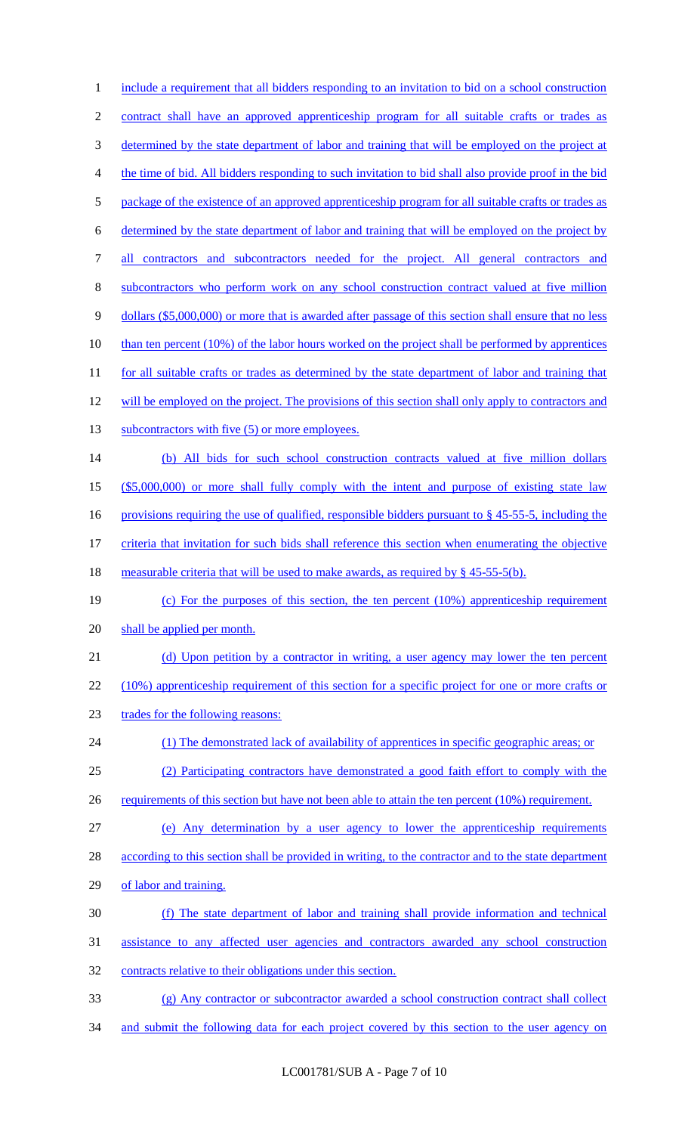1 include a requirement that all bidders responding to an invitation to bid on a school construction 2 contract shall have an approved apprenticeship program for all suitable crafts or trades as 3 determined by the state department of labor and training that will be employed on the project at 4 the time of bid. All bidders responding to such invitation to bid shall also provide proof in the bid 5 package of the existence of an approved apprenticeship program for all suitable crafts or trades as 6 determined by the state department of labor and training that will be employed on the project by 7 all contractors and subcontractors needed for the project. All general contractors and 8 subcontractors who perform work on any school construction contract valued at five million 9 dollars (\$5,000,000) or more that is awarded after passage of this section shall ensure that no less 10 than ten percent (10%) of the labor hours worked on the project shall be performed by apprentices 11 for all suitable crafts or trades as determined by the state department of labor and training that 12 will be employed on the project. The provisions of this section shall only apply to contractors and 13 subcontractors with five (5) or more employees. 14 (b) All bids for such school construction contracts valued at five million dollars 15 (\$5,000,000) or more shall fully comply with the intent and purpose of existing state law 16 provisions requiring the use of qualified, responsible bidders pursuant to § 45-55-5, including the 17 criteria that invitation for such bids shall reference this section when enumerating the objective 18 measurable criteria that will be used to make awards, as required by § 45-55-5(b). 19 (c) For the purposes of this section, the ten percent (10%) apprenticeship requirement 20 shall be applied per month. 21 (d) Upon petition by a contractor in writing, a user agency may lower the ten percent 22 (10%) apprenticeship requirement of this section for a specific project for one or more crafts or 23 trades for the following reasons: 24 (1) The demonstrated lack of availability of apprentices in specific geographic areas; or 25 (2) Participating contractors have demonstrated a good faith effort to comply with the 26 requirements of this section but have not been able to attain the ten percent (10%) requirement. 27 (e) Any determination by a user agency to lower the apprenticeship requirements 28 according to this section shall be provided in writing, to the contractor and to the state department 29 of labor and training. 30 (f) The state department of labor and training shall provide information and technical 31 assistance to any affected user agencies and contractors awarded any school construction 32 contracts relative to their obligations under this section. 33 (g) Any contractor or subcontractor awarded a school construction contract shall collect 34 and submit the following data for each project covered by this section to the user agency on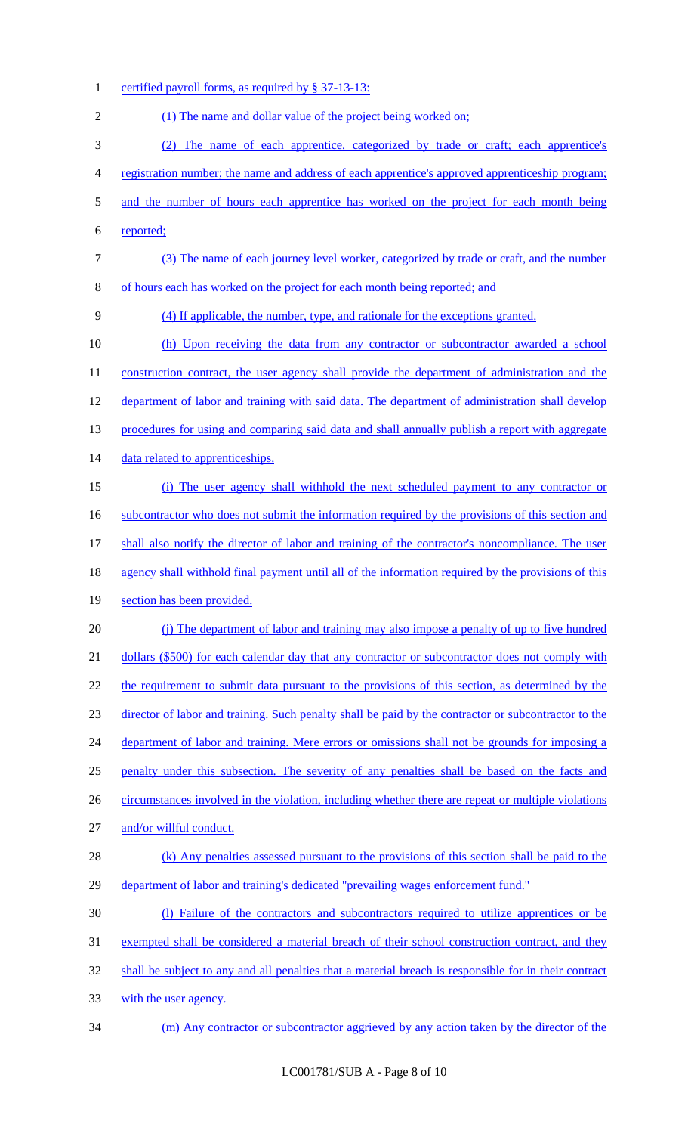1 certified payroll forms, as required by § 37-13-13: 2 (1) The name and dollar value of the project being worked on; (2) The name of each apprentice, categorized by trade or craft; each apprentice's registration number; the name and address of each apprentice's approved apprenticeship program; 5 and the number of hours each apprentice has worked on the project for each month being reported; (3) The name of each journey level worker, categorized by trade or craft, and the number of hours each has worked on the project for each month being reported; and (4) If applicable, the number, type, and rationale for the exceptions granted. (h) Upon receiving the data from any contractor or subcontractor awarded a school 11 construction contract, the user agency shall provide the department of administration and the department of labor and training with said data. The department of administration shall develop 13 procedures for using and comparing said data and shall annually publish a report with aggregate 14 data related to apprenticeships. (i) The user agency shall withhold the next scheduled payment to any contractor or 16 subcontractor who does not submit the information required by the provisions of this section and 17 shall also notify the director of labor and training of the contractor's noncompliance. The user agency shall withhold final payment until all of the information required by the provisions of this section has been provided. (j) The department of labor and training may also impose a penalty of up to five hundred 21 dollars (\$500) for each calendar day that any contractor or subcontractor does not comply with 22 the requirement to submit data pursuant to the provisions of this section, as determined by the director of labor and training. Such penalty shall be paid by the contractor or subcontractor to the 24 department of labor and training. Mere errors or omissions shall not be grounds for imposing a penalty under this subsection. The severity of any penalties shall be based on the facts and 26 circumstances involved in the violation, including whether there are repeat or multiple violations and/or willful conduct. 28 (k) Any penalties assessed pursuant to the provisions of this section shall be paid to the department of labor and training's dedicated "prevailing wages enforcement fund." (l) Failure of the contractors and subcontractors required to utilize apprentices or be exempted shall be considered a material breach of their school construction contract, and they shall be subject to any and all penalties that a material breach is responsible for in their contract with the user agency. (m) Any contractor or subcontractor aggrieved by any action taken by the director of the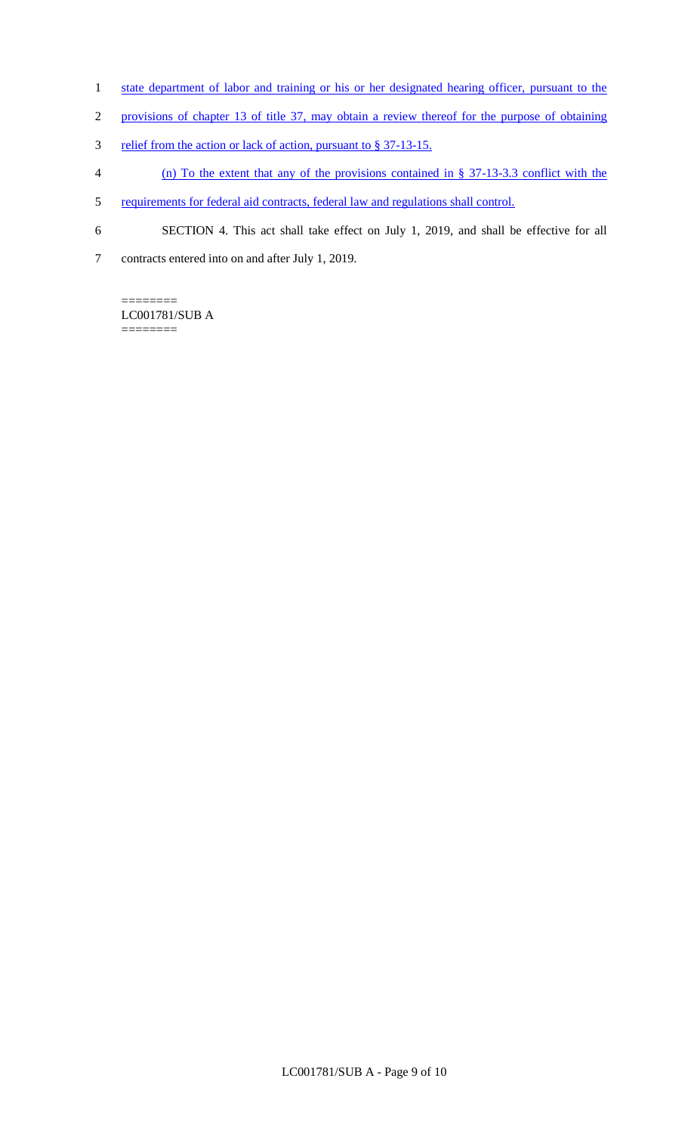- 1 state department of labor and training or his or her designated hearing officer, pursuant to the
- 2 provisions of chapter 13 of title 37, may obtain a review thereof for the purpose of obtaining
- 3 relief from the action or lack of action, pursuant to § 37-13-15.
- 4 (n) To the extent that any of the provisions contained in § 37-13-3.3 conflict with the
- 5 requirements for federal aid contracts, federal law and regulations shall control.
- 6 SECTION 4. This act shall take effect on July 1, 2019, and shall be effective for all
- 7 contracts entered into on and after July 1, 2019.

======== LC001781/SUB A ========